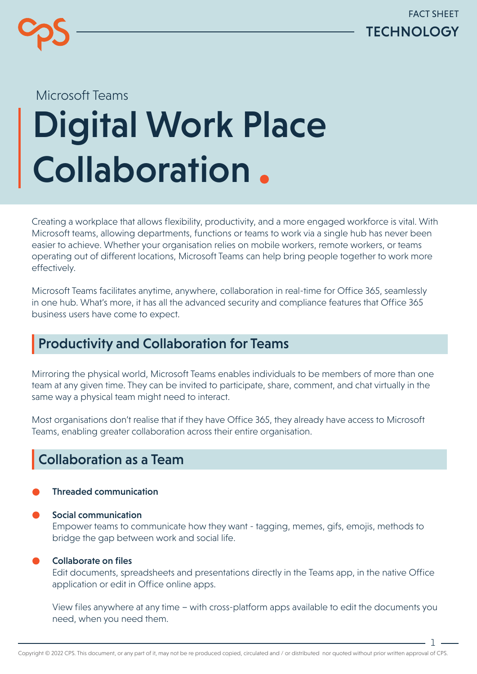

# Digital Work Place Collaboration. Microsoft Teams

Creating a workplace that allows flexibility, productivity, and a more engaged workforce is vital. With Microsoft teams, allowing departments, functions or teams to work via a single hub has never been easier to achieve. Whether your organisation relies on mobile workers, remote workers, or teams operating out of different locations, Microsoft Teams can help bring people together to work more effectively.

Microsoft Teams facilitates anytime, anywhere, collaboration in real-time for Office 365, seamlessly in one hub. What's more, it has all the advanced security and compliance features that Office 365 business users have come to expect.

### Productivity and Collaboration for Teams

Mirroring the physical world, Microsoft Teams enables individuals to be members of more than one team at any given time. They can be invited to participate, share, comment, and chat virtually in the same way a physical team might need to interact.

Most organisations don't realise that if they have Office 365, they already have access to Microsoft Teams, enabling greater collaboration across their entire organisation.

## Collaboration as a Team

#### Threaded communication

Social communication Empower teams to communicate how they want - tagging, memes, gifs, emojis, methods to bridge the gap between work and social life.

#### Collaborate on files

Edit documents, spreadsheets and presentations directly in the Teams app, in the native Office application or edit in Office online apps.

View files anywhere at any time – with cross-platform apps available to edit the documents you need, when you need them.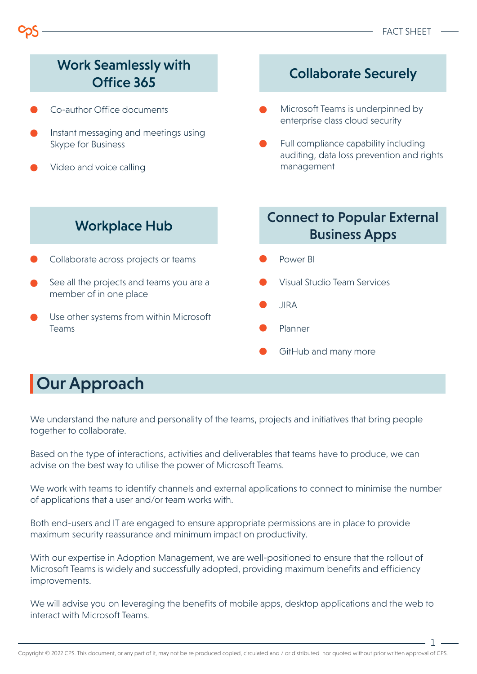

## Our Approach

We understand the nature and personality of the teams, projects and initiatives that bring people together to collaborate.

Based on the type of interactions, activities and deliverables that teams have to produce, we can advise on the best way to utilise the power of Microsoft Teams.

We work with teams to identify channels and external applications to connect to minimise the number of applications that a user and/or team works with.

Both end-users and IT are engaged to ensure appropriate permissions are in place to provide maximum security reassurance and minimum impact on productivity.

With our expertise in Adoption Management, we are well-positioned to ensure that the rollout of Microsoft Teams is widely and successfully adopted, providing maximum benefits and efficiency improvements.

We will advise you on leveraging the benefits of mobile apps, desktop applications and the web to interact with Microsoft Teams.